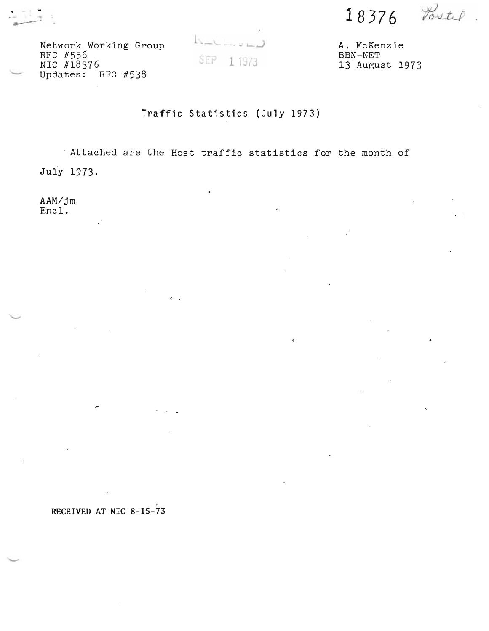**18376** 

Network Working Group  $\overline{A}$ . McKenzie A. McKenzie RFC #556<br>RFC #18376 SEP 11973 Updates: RFC #538

 $\mathbf{r}$ 

13 August 1973

## Traffic Statistics (July 1973)

. Attached are the Host traffic statistics for the month of Juiy 1973.

. .

AAM/jm Encl.

RECEIVED AT NIC 8-15-73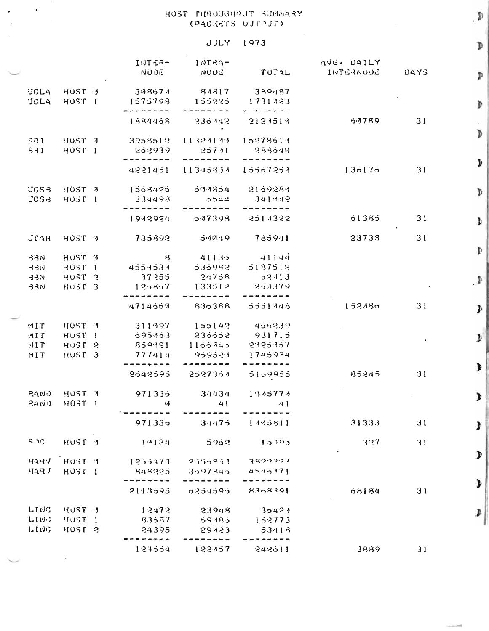## NEAMLE TUGHOUGHP TZOH (PACKETS UJPPJD)

 $\bullet$ 

## **JJLY** 1973

|                     |                              | INTER-<br><b>NODE</b>         | $INFA-$<br><b>NUDE</b> | TUTAL              | AVG. DAILY<br>INTERNODE | DAYS | Þ              |
|---------------------|------------------------------|-------------------------------|------------------------|--------------------|-------------------------|------|----------------|
| <b>JCLA</b>         | <b>JCLA</b> HUST 3<br>HUST I | $-398674$<br>1575798          | 84817<br>155225        | 389487<br>1731323  |                         |      | Þ              |
|                     |                              | 1884468                       | 235142                 | 2121517            | 5.3789                  | 31   |                |
| <b>SRI</b><br>$S-1$ | HUST 7<br>HUST <sub>1</sub>  | 3958512<br>202939             | 11324133<br>25711      | 15278514<br>288649 |                         |      | Þ              |
|                     |                              | 4221451                       | 11345834               | 15557251           | 136176                  | 31   | Þ              |
| <b>JCSB</b>         | HOST 9<br>JCSB HUST L        | 1503425<br>334498             | $-5.3.3854$<br>0544    | 2169284<br>341942  |                         |      | $\mathfrak{p}$ |
|                     |                              | 1943924                       | $-0.17398$             | 2514322            | 01335                   | 31   | Þ              |
| <b>JTAH</b>         | HOST J                       | 735892                        | 5.1949                 | 785941             | 23733                   | 31   |                |
| <b>BBN</b>          | HUST 7                       | $\overline{\mathbf{g}}$       | 41135                  | $-41144$           |                         |      | Þ              |
| <b>BBE</b>          | <b>HOST 1</b>                | 4557537                       | 636982                 | 5187512            |                         |      |                |
| <b>REF</b>          | HUST <sub>2</sub>            | 37255                         | 24758                  | 52413              |                         |      | ♪              |
| <b>ARE</b>          | HUST 3                       | 125857                        | 133512                 | 251379             |                         |      |                |
|                     |                              | 4714557                       | 830388                 | 5551448            | 152430                  | 31   | Þ              |
| MIT                 | HUST 4                       | 311997                        | 155142                 | 456239             |                         |      |                |
| rIT                 | HUST <sub>1</sub>            | 0.95453                       | 230052                 | 931715             |                         |      | Þ              |
| MT                  | HUST <sub>2</sub>            | 859121                        | 1100740                | 2125157            |                         |      |                |
| MIT                 | HUST <sub>3</sub>            | 777414                        | 959524                 | 1745934            |                         |      |                |
|                     |                              | 2642595                       | 2527354                | 5159955            | 85245                   | 31   | $\mathbf{I}$   |
|                     | RAND HUST 7                  | 971335                        | 34434                  | 1.145774           |                         |      |                |
| RAWD                | H05T 1                       | 环                             | $\frac{41}{4}$         | $\sim$ 41          |                         |      | ≯              |
|                     |                              |                               |                        |                    |                         |      |                |
|                     |                              | 971335                        | 34475                  | 1445811            | 31333                   | 31   | $\mathbf{r}$   |
| SIDC                | HUST 7                       | $1^{74}134$                   | 5902                   | 1.5195             | - 327                   | 31   |                |
| HQHJ                | HUST 7                       | $1255473 - 2555933 - 3899394$ |                        |                    |                         |      | $\mathbf{D}$   |
| HAPJ                | HUST <sub>1</sub>            | 848225                        | 3.397845               | 4545471            |                         |      |                |
|                     |                              |                               |                        |                    |                         |      |                |
|                     |                              | 2113595                       | 0254595                | 8308391            | 68184                   | 31   | $\mathbf{r}$   |
| LING                | HUST J                       | 12472                         | 33948                  | 35424              |                         |      |                |
| LIN.                | <b>HOST 1</b>                | - 33587                       | 59.185                 | 152773             |                         |      | D              |
| LING.               | HUST <sub>2</sub>            | 24395                         | 29123                  | 53418              |                         |      |                |
|                     |                              |                               |                        |                    |                         |      |                |
|                     |                              | 127554                        | 122457                 | 242611             | 3889                    | 31   |                |

 $\mathfrak{a}$ .  $\mathbb{D}$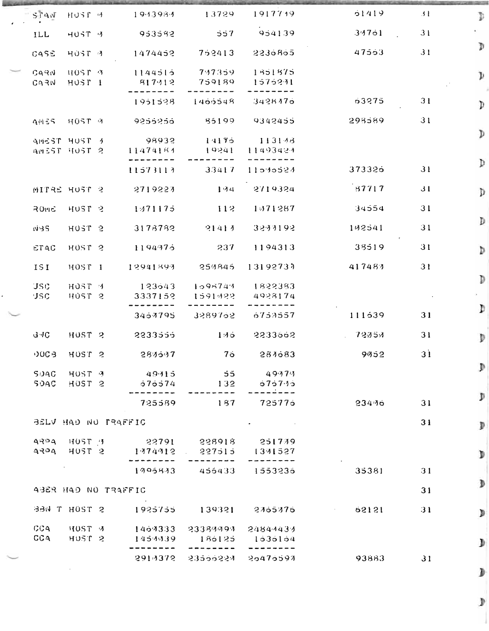| STAN         | HUST 4                       | 1943934                                                               | 13729                                | 1917739            | 01419                                     | 31              | D                                                                                                            |
|--------------|------------------------------|-----------------------------------------------------------------------|--------------------------------------|--------------------|-------------------------------------------|-----------------|--------------------------------------------------------------------------------------------------------------|
| ILL          | HUST V                       | 953582                                                                | 557                                  | 954139             | 34701                                     | 3 <sub>1</sub>  | Ю.                                                                                                           |
| CASE         | HUST 4                       | 1474452                                                               | 752413                               | 2236865            | 47553                                     | 31              | Þ                                                                                                            |
| C49N<br>C43W | HOSP 9<br>HUST <sub>1</sub>  | 1144515<br>817412                                                     | 747359<br>759189                     | 1351875<br>1575231 |                                           |                 | $\mathcal{Y}$                                                                                                |
|              |                              | 1951528                                                               | 1400548                              | 3428476            | 03275                                     | 31              | $\mathcal{D}$                                                                                                |
|              | <b>AMES</b> HOST 9           | 9256256                                                               | 85199                                | 9342455            | 293589                                    | 31              |                                                                                                              |
|              | AMEST HUST 1<br>AMEST HUST 2 | 98932<br>11474184                                                     | 14175<br>19241                       | 113148<br>11493424 |                                           |                 | $\mathcal{D}$                                                                                                |
|              |                              |                                                                       |                                      |                    |                                           |                 | Þ                                                                                                            |
|              |                              | 11573113                                                              | 33417                                | 11010024           | 373326                                    | 31              |                                                                                                              |
|              | MITRE HUST 2                 | 2719223                                                               | 1.34                                 | 2719324            | 57717                                     | 31              | Þ                                                                                                            |
| <b>ROME</b>  | HUST <sub>2</sub>            | 1:471175                                                              | $-112$                               | 1571287            | 34554                                     | 31              |                                                                                                              |
| $N-5$        | HOST <sub>2</sub>            | 3178782                                                               | 21413                                | 3233192            | 102541                                    | 31              | Þ                                                                                                            |
| <b>ETAC</b>  | HUST <sub>2</sub>            | 1194375                                                               | - 237                                | 1194313            | 38519                                     | 31              | Þ                                                                                                            |
| 151          | HOST <sub>1</sub>            | 12941893                                                              | 250846                               | 13192737           | 417483                                    | 31              |                                                                                                              |
| <b>JSC</b>   | HOST <sub>4</sub>            | 123543                                                                | 1095743                              | 1822383            |                                           |                 | Þ                                                                                                            |
| <b>JSC</b>   | HUST <sub>2</sub>            | 3337152                                                               | 1591422                              | 4928174            |                                           |                 |                                                                                                              |
|              |                              | 3457795                                                               | 3289762                              | 6753557            | 111539                                    | 31              | $\mathcal{D}% _{0}\left( t\right) \equiv\mathcal{D}_{0}\left( t\right) \equiv\mathcal{D}_{0}\left( t\right)$ |
| GMC.         | HUST <sub>2</sub>            | 2233555                                                               | 145                                  | 2233562            | $-72354$                                  | 31              | Þ                                                                                                            |
| $00G$ B      | HUST <sub>2</sub>            | 283537                                                                | $7\sigma$                            | 284683             | 9952                                      | 3 <sup>1</sup>  |                                                                                                              |
|              |                              | SDAC HOST 4 49415 55 49474                                            |                                      |                    |                                           |                 | Þ                                                                                                            |
|              |                              | SOAC HOST 2 576574 132 675745                                         |                                      | --------           |                                           |                 |                                                                                                              |
|              |                              | --------                                                              | $725589$ 187 725775                  |                    | 234.76                                    | 31              | Þ                                                                                                            |
|              |                              | BELV HAD NU PRAFFIC                                                   |                                      |                    |                                           | 31              | Þ                                                                                                            |
|              |                              | 9894 HOST 3 22791 228918 251739<br>4324 HOST 2 1374912 227515 1331527 |                                      |                    |                                           |                 | Þ                                                                                                            |
|              |                              | $- - -$                                                               | ----<br>$1995843$ $456433$ $1553235$ |                    | 35381                                     | 31              |                                                                                                              |
|              |                              | ABER HAD NO TRAFFIC                                                   |                                      |                    |                                           | 31              | Þ                                                                                                            |
|              |                              |                                                                       |                                      |                    |                                           |                 |                                                                                                              |
|              |                              |                                                                       |                                      |                    | BBN T HOST 2 1925755 139321 2765376 62121 | $\overline{31}$ | Þ                                                                                                            |
|              | CCA HUST 2                   | CCA HOST 4 1464333 23384494 24844434                                  | $1454439$ $186125$ $1636164$         |                    |                                           |                 |                                                                                                              |
|              |                              |                                                                       |                                      |                    |                                           |                 | D                                                                                                            |
|              |                              |                                                                       | $291/3372 - 2355522/4 - 25475597$    |                    | 93883                                     | 31              |                                                                                                              |

 $\dot{\mathbb{P}}$ 

J